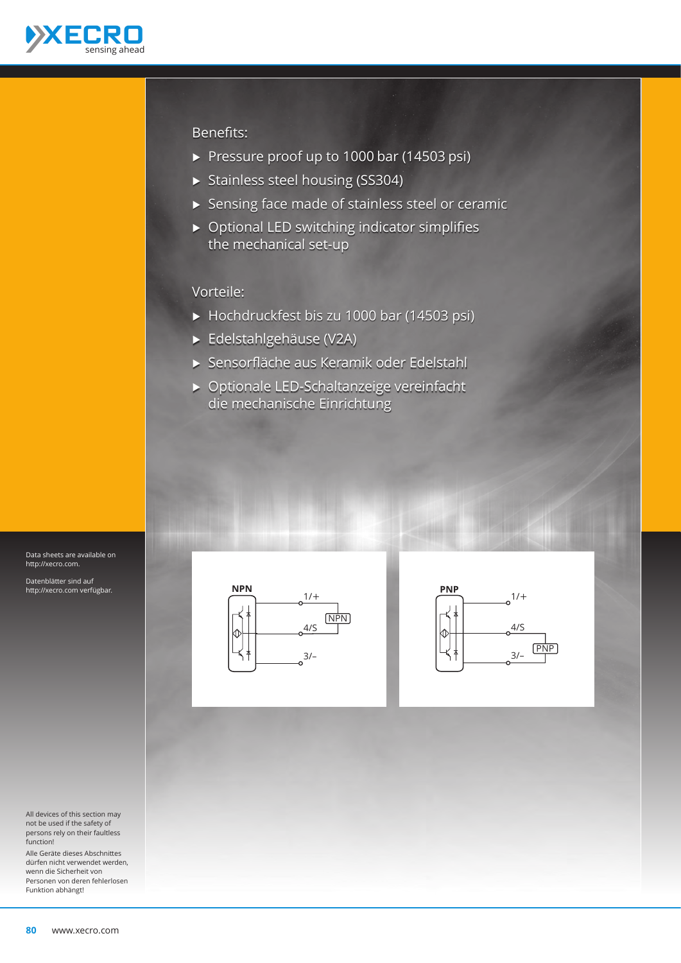

#### Benefits:

- ▶ Pressure proof up to 1000 bar (14503 psi)
- ▶ Stainless steel housing (SS304)
- Ѝ Sensing face made of stainless steel or ceramic
- $\triangleright$  Optional LED switching indicator simplifies the mechanical set-up

#### Vorteile:

- ▶ Hochdruckfest bis zu 1000 bar (14503 psi)
- Ѝ Edelstahlgehäuse (V2A)
- Ѝ Sensorfläche aus Keramik oder Edelstahl
- Ѝ Optionale LED-Schaltanzeige vereinfacht die mechanische Einrichtung





Data sheets are available on http://xecro.com.

Datenblätter sind auf http://xecro.com verfügbar.

All devices of this section may not be used if the safety of persons rely on their faultless function!

Alle Geräte dieses Abschnittes dürfen nicht verwendet werden, wenn die Sicherheit von Personen von deren fehlerlosen Funktion abhängt!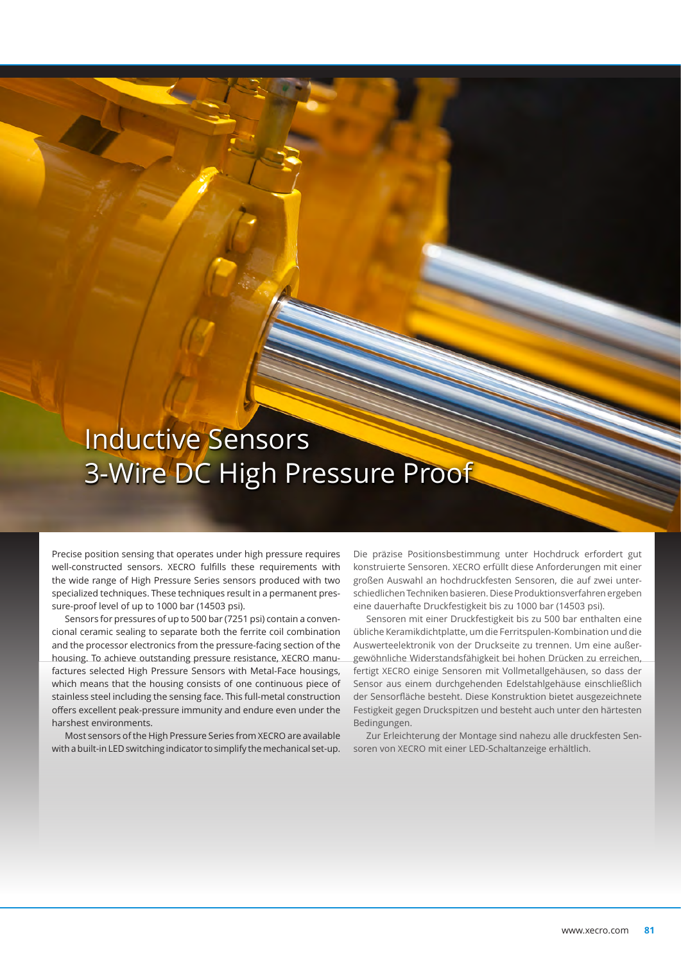# Inductive Sensors 3-Wire DC High Pressure Proof

Precise position sensing that operates under high pressure requires well-constructed sensors. XECRO fulfills these requirements with the wide range of High Pressure Series sensors produced with two specialized techniques. These techniques result in a permanent pressure-proof level of up to 1000 bar (14503 psi).

Sensors for pressures of up to 500 bar (7251 psi) contain a convencional ceramic sealing to separate both the ferrite coil combination and the processor electronics from the pressure-facing section of the housing. To achieve outstanding pressure resistance, XECRO manufactures selected High Pressure Sensors with Metal-Face housings, which means that the housing consists of one continuous piece of stainless steel including the sensing face. This full-metal construction offers excellent peak-pressure immunity and endure even under the harshest environments.

Most sensors of the High Pressure Series from XECRO are available with a built-in LED switching indicator to simplify the mechanical set-up.

Die präzise Positionsbestimmung unter Hochdruck erfordert gut konstruierte Sensoren. XECRO erfüllt diese Anforderungen mit einer großen Auswahl an hochdruckfesten Sensoren, die auf zwei unterschiedlichen Techniken basieren. Diese Produktionsverfahren ergeben eine dauerhafte Druckfestigkeit bis zu 1000 bar (14503 psi).

Sensoren mit einer Druckfestigkeit bis zu 500 bar enthalten eine übliche Keramikdichtplatte, um die Ferritspulen-Kombination und die Auswerteelektronik von der Druckseite zu trennen. Um eine außergewöhnliche Widerstandsfähigkeit bei hohen Drücken zu erreichen, fertigt XECRO einige Sensoren mit Vollmetallgehäusen, so dass der Sensor aus einem durchgehenden Edelstahlgehäuse einschließlich der Sensorfläche besteht. Diese Konstruktion bietet ausgezeichnete Festigkeit gegen Druckspitzen und besteht auch unter den härtesten Bedingungen.

Zur Erleichterung der Montage sind nahezu alle druckfesten Sensoren von XECRO mit einer LED-Schaltanzeige erhältlich.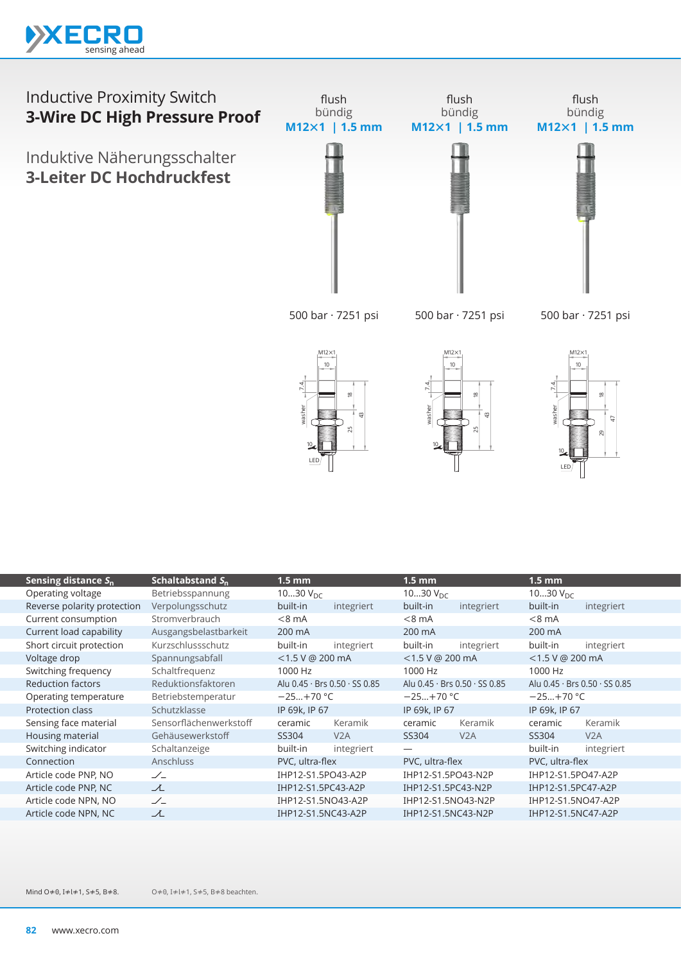

Induktive Näherungsschalter **3-Leiter DC Hochdruckfest**







 $M12\times1$ 



| Sensing distance $S_n$      | Schaltabstand $S_n$    | 1.5 mm             |                                             | $1.5 \text{ mm}$     |                                             | 1.5 mm             |                               |
|-----------------------------|------------------------|--------------------|---------------------------------------------|----------------------|---------------------------------------------|--------------------|-------------------------------|
| Operating voltage           | Betriebsspannung       | 1030 $V_{DC}$      |                                             | 1030 $V_{\text{DC}}$ |                                             | 1030 $V_{DC}$      |                               |
| Reverse polarity protection | Verpolungsschutz       | built-in           | integriert                                  | built-in             | integriert                                  | built-in           | integriert                    |
| Current consumption         | Stromverbrauch         | $< 8 \text{ mA}$   |                                             | $< 8$ mA             |                                             | $< 8$ mA           |                               |
| Current load capability     | Ausgangsbelastbarkeit  | 200 mA             |                                             | 200 mA               |                                             | 200 mA             |                               |
| Short circuit protection    | Kurzschlussschutz      | built-in           | integriert                                  | built-in             | integriert                                  | built-in           | integriert                    |
| Voltage drop                | Spannungsabfall        | $<$ 1.5 V @ 200 mA |                                             | $<$ 1.5 V @ 200 mA   |                                             | $<$ 1.5 V @ 200 mA |                               |
| Switching frequency         | Schaltfrequenz         | 1000 Hz            |                                             | 1000 Hz              |                                             | 1000 Hz            |                               |
| <b>Reduction factors</b>    | Reduktionsfaktoren     |                    | Alu $0.45 \cdot$ Brs $0.50 \cdot$ SS $0.85$ |                      | Alu $0.45 \cdot$ Brs $0.50 \cdot$ SS $0.85$ |                    | Alu 0.45 · Brs 0.50 · SS 0.85 |
| Operating temperature       | Betriebstemperatur     | $-25+70 °C$        |                                             | $-25+70$ °C          |                                             | $-25+70 °C$        |                               |
| Protection class            | Schutzklasse           | IP 69k, IP 67      |                                             | IP 69k, IP 67        |                                             | IP 69k, IP 67      |                               |
| Sensing face material       | Sensorflächenwerkstoff | ceramic            | Keramik                                     | ceramic              | Keramik                                     | ceramic            | Keramik                       |
| Housing material            | Gehäusewerkstoff       | SS304              | V2A                                         | SS304                | V <sub>2</sub> A                            | SS304              | V2A                           |
| Switching indicator         | Schaltanzeige          | built-in           | integriert                                  |                      |                                             | built-in           | integriert                    |
| Connection                  | <b>Anschluss</b>       | PVC, ultra-flex    |                                             | PVC, ultra-flex      |                                             | PVC, ultra-flex    |                               |
| Article code PNP, NO        | $\mathscr{L}_-$        | IHP12-S1.5PO43-A2P |                                             | IHP12-S1.5PO43-N2P   |                                             | IHP12-S1.5PO47-A2P |                               |
| Article code PNP, NC        | 工                      | IHP12-S1.5PC43-A2P |                                             | IHP12-S1.5PC43-N2P   |                                             | IHP12-S1.5PC47-A2P |                               |
| Article code NPN, NO        | $\angle$               | IHP12-S1.5NO43-A2P |                                             | IHP12-S1.5NO43-N2P   |                                             | IHP12-S1.5NO47-A2P |                               |
| Article code NPN, NC        | ᆺ                      | IHP12-S1.5NC43-A2P |                                             | IHP12-S1.5NC43-N2P   |                                             | IHP12-S1.5NC47-A2P |                               |
|                             |                        |                    |                                             |                      |                                             |                    |                               |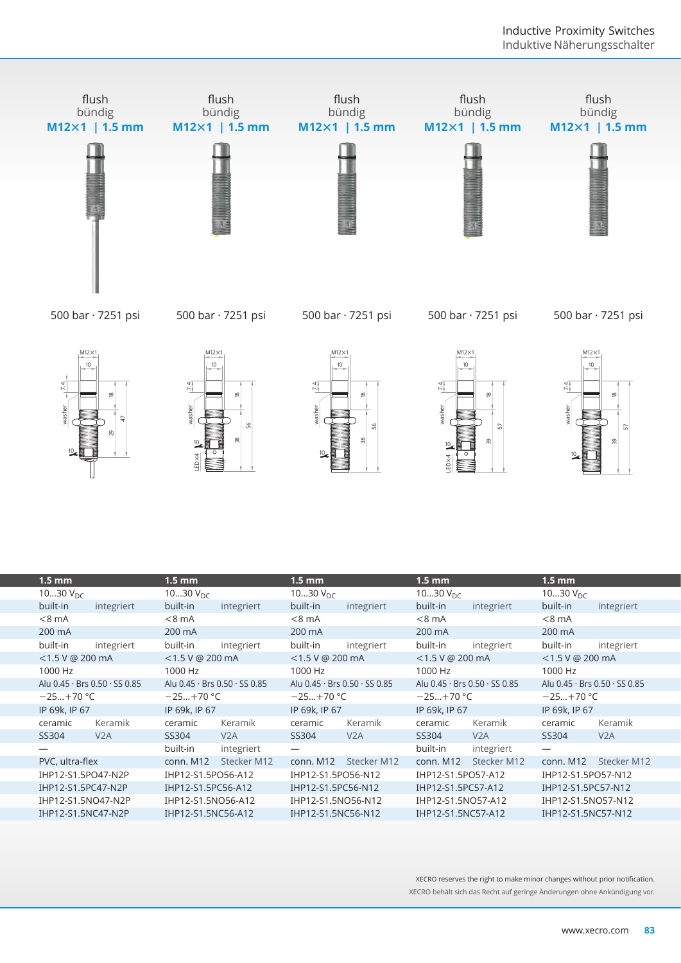

| $1.5$ mm                      | $1.5$ mm                                    | $1.5 \text{ mm}$                          | $1.5$ mm                      | $1.5 \text{ mm}$              |
|-------------------------------|---------------------------------------------|-------------------------------------------|-------------------------------|-------------------------------|
| 1030 $V_{DC}$                 | 1030 $V_{DC}$                               | 1030 $V_{DC}$                             | 1030 $V_{DC}$                 | 1030 $V_{DC}$                 |
| built-in<br>integriert        | built-in<br>integriert                      | built-in<br>integriert                    | built-in<br>integriert        | built-in<br>integriert        |
| $< 8$ mA                      | $< 8 \text{ mA}$                            | $< 8$ mA                                  | $< 8$ mA                      | $<8$ mA                       |
| 200 mA                        | 200 mA                                      | 200 mA                                    | 200 mA                        | 200 mA                        |
| built-in<br>integriert        | built-in<br>integriert                      | built-in<br>integriert                    | built-in<br>integriert        | built-in<br>integriert        |
| $<$ 1.5 V @ 200 mA            | $<$ 1.5 V @ 200 mA                          | $<$ 1.5 V @ 200 mA                        | <1.5 V @ 200 mA               | $<$ 1.5 V @ 200 mA            |
| 1000 Hz                       | 1000 Hz                                     | 1000 Hz                                   | 1000 Hz                       | 1000 Hz                       |
| Alu 0.45 · Brs 0.50 · SS 0.85 | Alu $0.45 \cdot$ Brs $0.50 \cdot$ SS $0.85$ | Alu $0.45 \cdot$ Brs $0.50 \cdot$ SS 0.85 | Alu 0.45 · Brs 0.50 · SS 0.85 | Alu 0.45 · Brs 0.50 · SS 0.85 |
| $-25+70 °C$                   | $-25+70 °C$                                 | $-25+70 °C$                               | $-25+70$ °C                   | $-25+70$ °C                   |
| IP 69k, IP 67                 | IP 69k, IP 67                               | IP 69k, IP 67                             | IP 69k, IP 67                 | IP 69k, IP 67                 |
| Keramik<br>ceramic            | Keramik<br>ceramic                          | Keramik<br>ceramic                        | Keramik<br>ceramic            | Keramik<br>ceramic            |
| SS304<br>V <sub>2</sub> A     | SS304<br>V2A                                | SS304<br>V2A                              | SS304<br>V2A                  | SS304<br>V2A                  |
|                               | built-in<br>integriert                      |                                           | built-in<br>integriert        |                               |
| PVC, ultra-flex               | Stecker M12<br>conn. M12                    | Stecker M12<br>conn. M12                  | Stecker M12<br>conn. M12      | conn. M12<br>Stecker M12      |
| IHP12-S1.5PO47-N2P            | IHP12-S1.5PO56-A12                          | IHP12-S1.5PO56-N12                        | IHP12-S1.5PO57-A12            | IHP12-S1.5PO57-N12            |
| IHP12-S1.5PC47-N2P            | IHP12-S1.5PC56-A12                          | IHP12-S1.5PC56-N12                        | IHP12-S1.5PC57-A12            | IHP12-S1.5PC57-N12            |
| IHP12-S1.5NO47-N2P            | IHP12-S1.5NO56-A12                          | IHP12-S1.5NO56-N12                        | IHP12-S1.5NO57-A12            | IHP12-S1.5NO57-N12            |
| IHP12-S1.5NC47-N2P            | IHP12-S1.5NC56-A12                          | IHP12-S1.5NC56-N12                        | IHP12-S1.5NC57-A12            | IHP12-S1.5NC57-N12            |
|                               |                                             |                                           |                               |                               |

XECRO reserves the right to make minor changes without prior notification. XECRO behält sich das Recht auf geringe Änderungen ohne Ankündigung vor.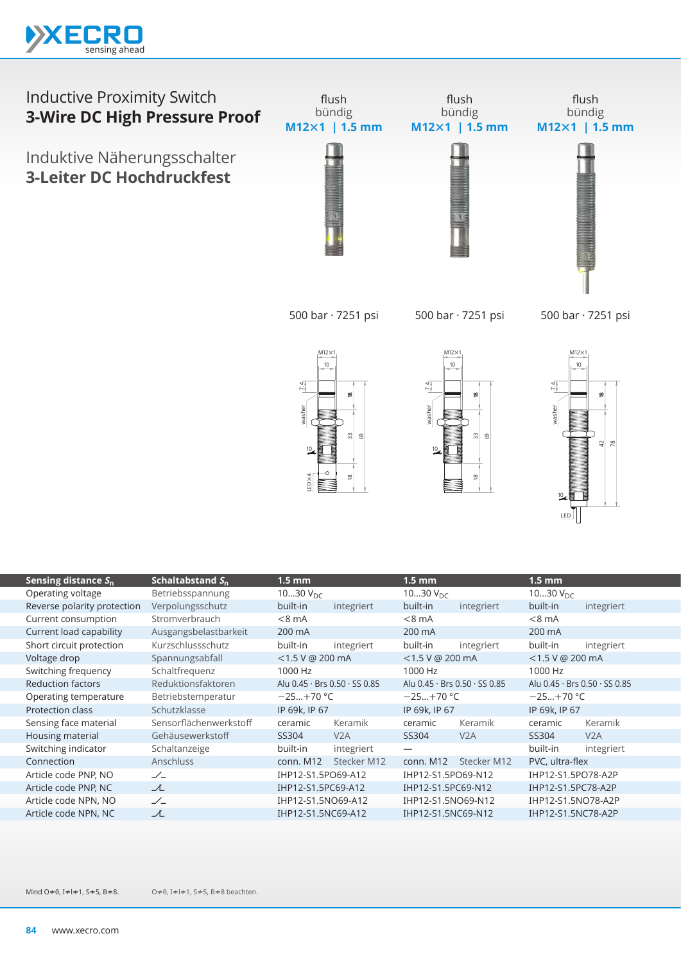

Induktive Näherungsschalter **3-Leiter DC Hochdruckfest**



500 bar · 7251 psi

500 bar · 7251 psi

500 bar · 7251 psi







| Sensing distance $S_n$      | Schaltabstand $S_n$    | $1.5 \text{ mm}$     |                                             | $1.5 \text{ mm}$   |                                           | $1.5 \text{ mm}$     |                                             |
|-----------------------------|------------------------|----------------------|---------------------------------------------|--------------------|-------------------------------------------|----------------------|---------------------------------------------|
| Operating voltage           | Betriebsspannung       | 1030 $V_{\text{DC}}$ |                                             | 1030 $V_{DC}$      |                                           | 1030 $V_{\text{DC}}$ |                                             |
| Reverse polarity protection | Verpolungsschutz       | built-in             | integriert                                  | built-in           | integriert                                | built-in             | integriert                                  |
| Current consumption         | Stromverbrauch         | $< 8$ mA             |                                             | $< 8$ mA           |                                           | $< 8$ mA             |                                             |
| Current load capability     | Ausgangsbelastbarkeit  | 200 mA               |                                             | 200 mA             |                                           | 200 mA               |                                             |
| Short circuit protection    | Kurzschlussschutz      | built-in             | integriert                                  | built-in           | integriert                                | built-in             | integriert                                  |
| Voltage drop                | Spannungsabfall        | $<$ 1.5 V @ 200 mA   |                                             | $<$ 1.5 V @ 200 mA |                                           | <1.5 V @ 200 mA      |                                             |
| Switching frequency         | Schaltfrequenz         | 1000 Hz              |                                             | 1000 Hz            |                                           | 1000 Hz              |                                             |
| <b>Reduction factors</b>    | Reduktionsfaktoren     |                      | Alu $0.45 \cdot$ Brs $0.50 \cdot$ SS $0.85$ |                    | Alu $0.45 \cdot$ Brs $0.50 \cdot$ SS 0.85 |                      | Alu $0.45 \cdot$ Brs $0.50 \cdot$ SS $0.85$ |
| Operating temperature       | Betriebstemperatur     | $-25+70$ °C          |                                             | $-25+70$ °C        |                                           | $-25+70 °C$          |                                             |
| Protection class            | Schutzklasse           | IP 69k, IP 67        |                                             | IP 69k, IP 67      |                                           | IP 69k, IP 67        |                                             |
| Sensing face material       | Sensorflächenwerkstoff | ceramic              | Keramik                                     | ceramic            | Keramik                                   | ceramic              | Keramik                                     |
| Housing material            | Gehäusewerkstoff       | SS304                | V2A                                         | SS304              | V2A                                       | SS304                | V2A                                         |
| Switching indicator         | Schaltanzeige          | built-in             | integriert                                  | —                  |                                           | built-in             | integriert                                  |
| Connection                  | <b>Anschluss</b>       | conn. M12            | Stecker M12                                 | conn. M12          | Stecker M12                               | PVC, ultra-flex      |                                             |
| Article code PNP, NO        | $\angle$               | IHP12-S1.5PO69-A12   |                                             | IHP12-S1.5PO69-N12 |                                           | IHP12-S1.5PO78-A2P   |                                             |
| Article code PNP, NC        | 工                      | IHP12-S1.5PC69-A12   |                                             | IHP12-S1.5PC69-N12 |                                           | IHP12-S1.5PC78-A2P   |                                             |
| Article code NPN, NO        | $\angle$               | IHP12-S1.5NO69-A12   |                                             | IHP12-S1.5NO69-N12 |                                           | IHP12-S1.5NO78-A2P   |                                             |
| Article code NPN, NC        | 工                      | IHP12-S1.5NC69-A12   |                                             | IHP12-S1.5NC69-N12 |                                           | IHP12-S1.5NC78-A2P   |                                             |
|                             |                        |                      |                                             |                    |                                           |                      |                                             |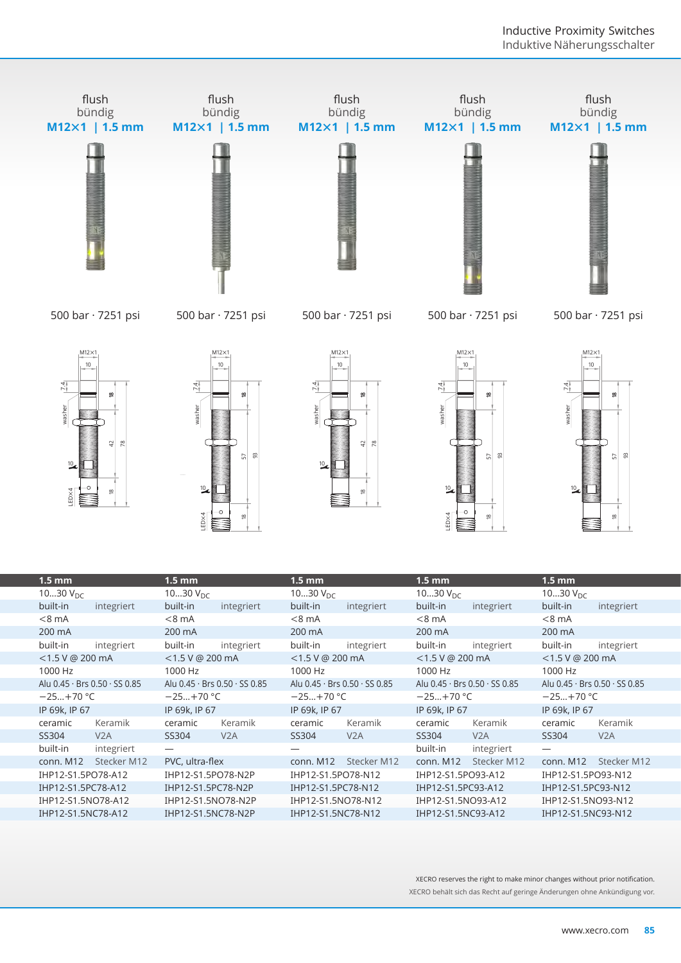

| $1.5$ mm           |                               | $1.5$ mm           |                                             | $1.5$ mm           |                               | $1.5$ mm           |                               | $1.5$ mm                 |                               |
|--------------------|-------------------------------|--------------------|---------------------------------------------|--------------------|-------------------------------|--------------------|-------------------------------|--------------------------|-------------------------------|
| 1030 $V_{DC}$      |                               | 1030 $V_{DC}$      |                                             | 1030 $V_{DC}$      |                               | 1030 $V_{DC}$      |                               | 1030 $V_{DC}$            |                               |
| built-in           | integriert                    | built-in           | integriert                                  | built-in           | integriert                    | built-in           | integriert                    | built-in                 | integriert                    |
| $< 8$ mA           |                               | $< 8$ mA           |                                             | $< 8$ mA           |                               | $< 8$ mA           |                               | $< 8$ mA                 |                               |
| 200 mA             |                               | 200 mA             |                                             | 200 mA             |                               | 200 mA             |                               | 200 mA                   |                               |
| built-in           | integriert                    | built-in           | integriert                                  | built-in           | integriert                    | built-in           | integriert                    | built-in                 | integriert                    |
| $<$ 1.5 V @ 200 mA |                               | $<$ 1.5 V @ 200 mA |                                             | $<$ 1.5 V @ 200 mA |                               | $<$ 1.5 V @ 200 mA |                               | $<$ 1.5 V @ 200 mA       |                               |
| 1000 Hz            |                               | 1000 Hz            |                                             | 1000 Hz            |                               | 1000 Hz            |                               | 1000 Hz                  |                               |
|                    | Alu 0.45 · Brs 0.50 · SS 0.85 |                    | Alu $0.45 \cdot$ Brs $0.50 \cdot$ SS $0.85$ |                    | Alu 0.45 · Brs 0.50 · SS 0.85 |                    | Alu 0.45 · Brs 0.50 · SS 0.85 |                          | Alu 0.45 · Brs 0.50 · SS 0.85 |
| $-25+70 °C$        |                               | $-25+70 °C$        |                                             | $-25+70$ °C        |                               | $-25+70$ °C        |                               | $-25+70$ °C              |                               |
| IP 69k, IP 67      |                               | IP 69k, IP 67      |                                             | IP 69k, IP 67      |                               | IP 69k, IP 67      |                               | IP 69k, IP 67            |                               |
| ceramic            | Keramik                       | ceramic            | Keramik                                     | ceramic            | Keramik                       | ceramic            | Keramik                       | ceramic                  | Keramik                       |
| SS304              | V2A                           | SS304              | V <sub>2</sub> A                            | SS304              | V2A                           | SS304              | V2A                           | SS304                    | V2A                           |
| built-in           | integriert                    | —                  |                                             |                    |                               | built-in           | integriert                    | $\overline{\phantom{0}}$ |                               |
| conn. M12          | Stecker M12                   | PVC, ultra-flex    |                                             | conn. M12          | Stecker M12                   | conn. M12          | Stecker M12                   | conn. M12                | Stecker M12                   |
| IHP12-S1.5PO78-A12 |                               | IHP12-S1.5PO78-N2P |                                             | IHP12-S1.5PO78-N12 |                               | IHP12-S1.5PO93-A12 |                               | IHP12-S1.5PO93-N12       |                               |
| IHP12-S1.5PC78-A12 |                               | IHP12-S1.5PC78-N2P |                                             | IHP12-S1.5PC78-N12 |                               | IHP12-S1.5PC93-A12 |                               | IHP12-S1.5PC93-N12       |                               |
| IHP12-S1.5NO78-A12 |                               | IHP12-S1.5NO78-N2P |                                             | IHP12-S1.5NO78-N12 |                               | IHP12-S1.5NO93-A12 |                               | IHP12-S1.5NO93-N12       |                               |
| IHP12-S1.5NC78-A12 |                               | IHP12-S1.5NC78-N2P |                                             | IHP12-S1.5NC78-N12 |                               | IHP12-S1.5NC93-A12 |                               | IHP12-S1.5NC93-N12       |                               |
|                    |                               |                    |                                             |                    |                               |                    |                               |                          |                               |

8 LED×4

è

8 LED×4

XECRO reserves the right to make minor changes without prior notification. XECRO behält sich das Recht auf geringe Änderungen ohne Ankündigung vor.

 $\frac{8}{2}$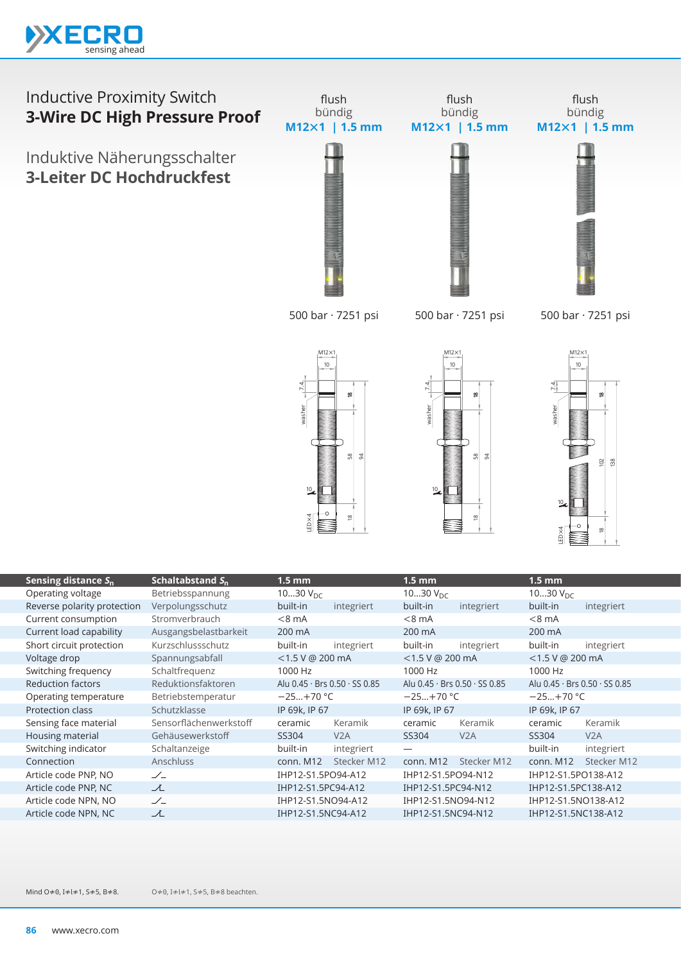

Induktive Näherungsschalter **3-Leiter DC Hochdruckfest**



l

|                                 |                        | washer<br>10 <sub>c</sub><br>LED X4<br>m | 8 X<br>$\frac{8}{2}$ | washer<br>$\frac{10}{2}$      | 8<br>S,<br>$\infty$ | washer<br>LED X4              | ≌<br>$\overline{102}$<br>$\frac{8}{2}$<br>≌ |
|---------------------------------|------------------------|------------------------------------------|----------------------|-------------------------------|---------------------|-------------------------------|---------------------------------------------|
| Sensing distance S <sub>n</sub> | Schaltabstand $S_n$    | $1.5$ mm                                 |                      | $1.5$ mm                      |                     | 1.5 <sub>mm</sub>             |                                             |
| Operating voltage               | Betriebsspannung       | 1030 $V_{DC}$                            |                      | 1030 $V_{DC}$                 |                     | 1030 $V_{DC}$                 |                                             |
| Reverse polarity protection     | Verpolungsschutz       | built-in                                 | integriert           | built-in                      | integriert          | built-in                      | integriert                                  |
| Current consumption             | Stromverbrauch         | $< 8$ mA                                 |                      | $< 8$ mA                      |                     | $< 8$ mA                      |                                             |
| Current load capability         | Ausgangsbelastbarkeit  | 200 mA                                   |                      | 200 mA                        |                     | 200 mA                        |                                             |
| Short circuit protection        | Kurzschlussschutz      | built-in                                 | integriert           | built-in                      | integriert          | built-in                      | integriert                                  |
| Voltage drop                    | Spannungsabfall        | <1.5 V @ 200 mA                          |                      | <1.5 V @ 200 mA               |                     | <1.5 V @ 200 mA               |                                             |
| Switching frequency             | Schaltfrequenz         | 1000 Hz                                  |                      | 1000 Hz                       |                     | 1000 Hz                       |                                             |
| <b>Reduction factors</b>        | Reduktionsfaktoren     | Alu 0.45 · Brs 0.50 · SS 0.85            |                      | Alu 0.45 · Brs 0.50 · SS 0.85 |                     | Alu 0.45 · Brs 0.50 · SS 0.85 |                                             |
| Operating temperature           | Betriebstemperatur     | $-25+70 °C$                              |                      | $-25+70$ °C                   |                     | $-25+70 °C$                   |                                             |
| Protection class                | Schutzklasse           | IP 69k, IP 67                            |                      | IP 69k, IP 67                 |                     | IP 69k, IP 67                 |                                             |
| Sensing face material           | Sensorflächenwerkstoff | ceramic                                  | Keramik              | ceramic                       | Keramik             | ceramic                       | Keramik                                     |
| Housing material                | Gehäusewerkstoff       | SS304                                    | V2A                  | SS304                         | V2A                 | SS304                         | V2A                                         |
| Switching indicator             | Schaltanzeige          | built-in                                 | integriert           |                               |                     | built-in                      | integriert                                  |
| Connection                      | Anschluss              | conn. M12                                | Stecker M12          | conn. M12                     | Stecker M12         | conn. M12                     | Stecker M12                                 |
| Article code PNP, NO            | $\angle$               | IHP12-S1.5PO94-A12                       |                      | IHP12-S1.5PO94-N12            |                     | IHP12-S1.5PO138-A12           |                                             |
| Article code PNP, NC            | て                      | IHP12-S1.5PC94-A12                       |                      | IHP12-S1.5PC94-N12            |                     | IHP12-S1.5PC138-A12           |                                             |
| Article code NPN, NO            | $\angle$               | IHP12-S1.5NO94-A12                       |                      | IHP12-S1.5NO94-N12            |                     | IHP12-S1.5NO138-A12           |                                             |
| Article code NPN, NC            | プ                      | IHP12-S1.5NC94-A12                       |                      | IHP12-S1.5NC94-N12            |                     | IHP12-S1.5NC138-A12           |                                             |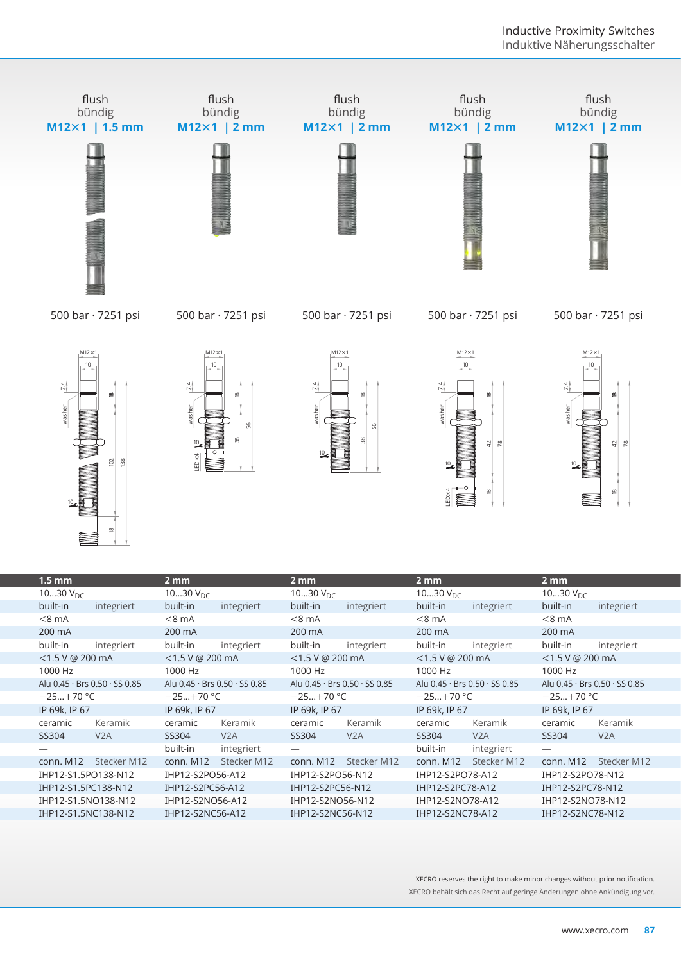

| washer<br>138                           | washer<br>99<br>ED X4         | washer<br>56                  | washer<br>a,<br>$\approx$<br>ED <sub>×4</sub><br>$\underline{\infty}$ | vasher<br>42 R<br>≌           |  |
|-----------------------------------------|-------------------------------|-------------------------------|-----------------------------------------------------------------------|-------------------------------|--|
| $1.5$ mm                                | 2mm                           | 2 <sub>mm</sub>               | 2 <sub>mm</sub>                                                       | 2 <sub>mm</sub>               |  |
| 1030 $V_{DC}$                           | 1030 $V_{\text{DC}}$          | 1030 $V_{\text{DC}}$          | 1030 $V_{DC}$                                                         | 1030 $V_{DC}$                 |  |
| built-in<br>integriert                  | built-in<br>integriert        | built-in<br>integriert        | built-in<br>integriert                                                | built-in<br>integriert        |  |
| $< 8$ mA                                | $< 8$ mA                      | $< 8$ mA                      | $< 8$ mA                                                              | $< 8$ mA                      |  |
| 200 mA                                  | 200 mA                        | 200 mA                        | 200 mA                                                                | 200 mA                        |  |
| built-in<br>integriert                  | built-in<br>integriert        | built-in<br>integriert        | built-in<br>integriert                                                | built-in<br>integriert        |  |
| <1.5 V @ 200 mA                         | $<$ 1.5 V @ 200 mA            | <1.5 V @ 200 mA               | <1.5 V @ 200 mA                                                       | <1.5 V @ 200 mA               |  |
| 1000 Hz                                 | 1000 Hz                       | 1000 Hz                       | 1000 Hz                                                               | 1000 Hz                       |  |
| Alu 0.45 · Brs 0.50 · SS 0.85           | Alu 0.45 · Brs 0.50 · SS 0.85 | Alu 0.45 · Brs 0.50 · SS 0.85 | Alu 0.45 · Brs 0.50 · SS 0.85                                         | Alu 0.45 · Brs 0.50 · SS 0.85 |  |
| $-25+70$ °C                             | $-25+70$ °C                   | $-25+70$ °C                   | $-25+70 °C$                                                           | $-25+70$ °C                   |  |
| IP 69k, IP 67                           | IP 69k, IP 67                 | IP 69k, IP 67                 | IP 69k, IP 67                                                         | IP 69k, IP 67                 |  |
| ceramic<br>Keramik                      | ceramic<br>Keramik            | ceramic<br>Keramik            | ceramic<br>Keramik                                                    | Keramik<br>ceramic            |  |
| V <sub>2</sub> A<br>SS304               | SS304<br>V2A                  | SS304<br>V <sub>2</sub> A     | SS304<br>V2A                                                          | SS304<br>V <sub>2</sub> A     |  |
|                                         | built-in<br>integriert        |                               | built-in<br>integriert                                                |                               |  |
| Stecker M12<br>conn. M12                | conn. M12<br>Stecker M12      | conn. M12<br>Stecker M12      | conn. M12<br>Stecker M12                                              | conn. M12<br>Stecker M12      |  |
| IHP12-S1.5PO138-N12                     | IHP12-S2PO56-A12              | IHP12-S2PO56-N12              | IHP12-S2PO78-A12                                                      | IHP12-S2PO78-N12              |  |
| IHP12-S1.5PC138-N12                     | IHP12-S2PC56-A12              | IHP12-S2PC56-N12              | IHP12-S2PC78-A12                                                      | IHP12-S2PC78-N12              |  |
| IHP12-S1.5NO138-N12                     | IHP12-S2NO56-A12              | IHP12-S2NO56-N12              | IHP12-S2NO78-A12                                                      | IHP12-S2NO78-N12              |  |
| IHP12-S2NC56-A12<br>IHP12-S1.5NC138-N12 |                               | IHP12-S2NC56-N12              | IHP12-S2NC78-A12                                                      | IHP12-S2NC78-N12              |  |

XECRO reserves the right to make minor changes without prior notification. XECRO behält sich das Recht auf geringe Änderungen ohne Ankündigung vor.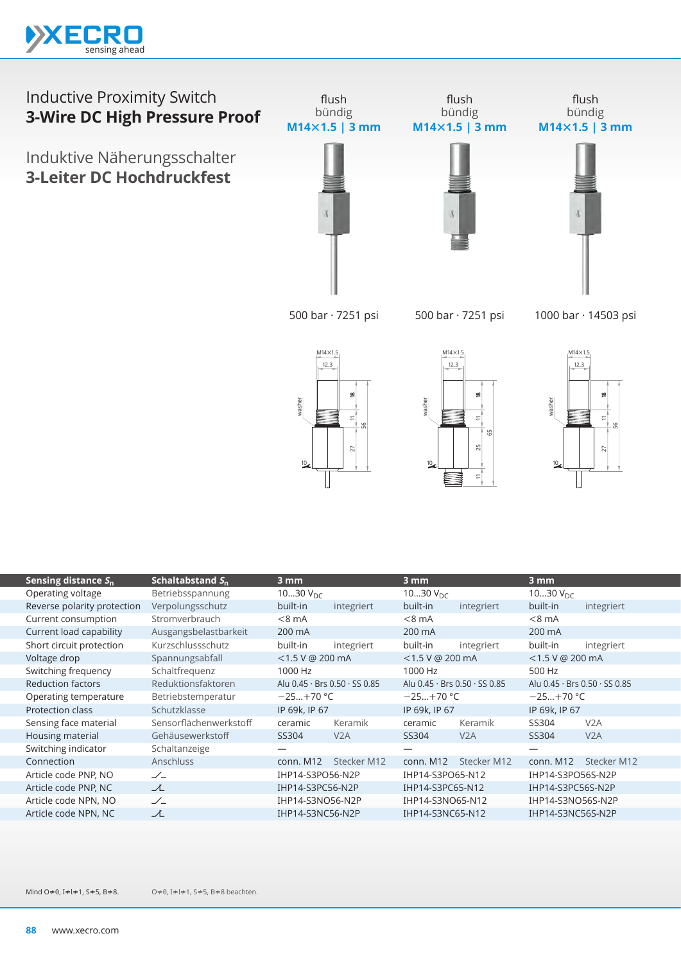

Induktive Näherungsschalter **3-Leiter DC Hochdruckfest**



flush

flush bündig **M14×1.5 | 3 mm**

flush bündig **M14×1.5 | 3 mm**



500 bar · 7251 psi

500 bar · 7251 psi

1000 bar · 14503 psi







| Sensing distance $S_n$      | Schaltabstand $S_n$    | $3 \text{ mm}$     |                                             | 3 mm                 |                               | 3 mm                 |                               |
|-----------------------------|------------------------|--------------------|---------------------------------------------|----------------------|-------------------------------|----------------------|-------------------------------|
| Operating voltage           | Betriebsspannung       | 1030 $V_{DC}$      |                                             | 1030 $V_{\text{DC}}$ |                               | 1030 $V_{\text{DC}}$ |                               |
| Reverse polarity protection | Verpolungsschutz       | built-in           | integriert                                  | built-in             | integriert                    | built-in             | integriert                    |
| Current consumption         | Stromverbrauch         | $< 8$ mA           |                                             | $< 8$ mA             |                               | $< 8$ mA             |                               |
| Current load capability     | Ausgangsbelastbarkeit  | 200 mA             |                                             | 200 mA               |                               | 200 mA               |                               |
| Short circuit protection    | Kurzschlussschutz      | built-in           | integriert                                  | built-in             | integriert                    | built-in             | integriert                    |
| Voltage drop                | Spannungsabfall        | $<$ 1.5 V @ 200 mA |                                             | $<$ 1.5 V @ 200 mA   |                               | $<$ 1.5 V @ 200 mA   |                               |
| Switching frequency         | Schaltfrequenz         | 1000 Hz            |                                             | 1000 Hz              |                               | 500 Hz               |                               |
| <b>Reduction factors</b>    | Reduktionsfaktoren     |                    | Alu $0.45 \cdot$ Brs $0.50 \cdot$ SS $0.85$ |                      | Alu 0.45 · Brs 0.50 · SS 0.85 |                      | Alu 0.45 · Brs 0.50 · SS 0.85 |
| Operating temperature       | Betriebstemperatur     | $-25+70 °C$        |                                             | $-25+70$ °C          |                               | $-25+70$ °C          |                               |
| Protection class            | Schutzklasse           | IP 69k, IP 67      |                                             | IP 69k, IP 67        |                               | IP 69k, IP 67        |                               |
| Sensing face material       | Sensorflächenwerkstoff | ceramic            | Keramik                                     | ceramic              | Keramik                       | SS304                | V <sub>2</sub> A              |
| Housing material            | Gehäusewerkstoff       | SS304              | V2A                                         | SS304                | V2A                           | SS304                | V2A                           |
| Switching indicator         | Schaltanzeige          |                    |                                             |                      |                               |                      |                               |
| Connection                  | <b>Anschluss</b>       | conn. M12          | Stecker M12                                 | conn. M12            | Stecker M12                   | conn. M12            | Stecker M12                   |
| Article code PNP, NO        | $\angle$               | IHP14-S3PO56-N2P   |                                             | IHP14-S3PO65-N12     |                               | IHP14-S3PO56S-N2P    |                               |
| Article code PNP, NC        | ᆺ                      | IHP14-S3PC56-N2P   |                                             | IHP14-S3PC65-N12     |                               | IHP14-S3PC56S-N2P    |                               |
| Article code NPN, NO        | $\angle$               | IHP14-S3NO56-N2P   |                                             | IHP14-S3NO65-N12     |                               | IHP14-S3NO56S-N2P    |                               |
| Article code NPN, NC        | 工                      | IHP14-S3NC56-N2P   |                                             | IHP14-S3NC65-N12     |                               | IHP14-S3NC56S-N2P    |                               |
|                             |                        |                    |                                             |                      |                               |                      |                               |